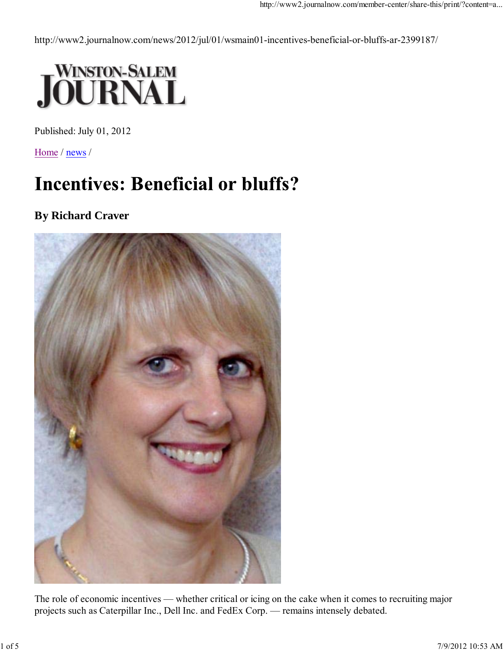http://www2.journalnow.com/news/2012/jul/01/wsmain01-incentives-beneficial-or-bluffs-ar-2399187/



Published: July 01, 2012

Home / news /

# **Incentives: Beneficial or bluffs?**

## **By Richard Craver**



The role of economic incentives — whether critical or icing on the cake when it comes to recruiting major projects such as Caterpillar Inc., Dell Inc. and FedEx Corp. — remains intensely debated.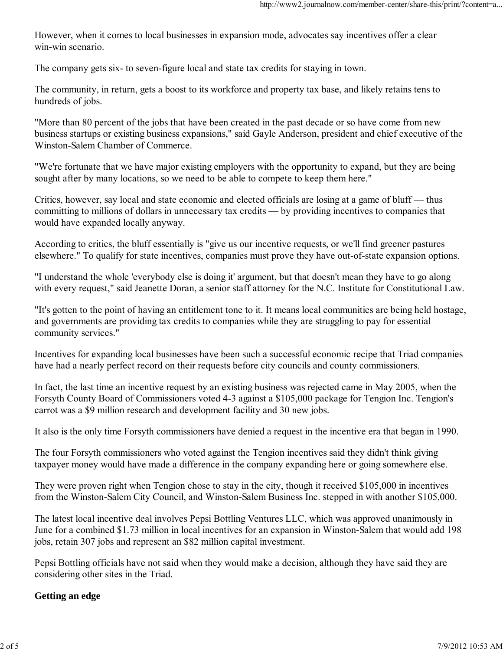However, when it comes to local businesses in expansion mode, advocates say incentives offer a clear win-win scenario.

The company gets six- to seven-figure local and state tax credits for staying in town.

The community, in return, gets a boost to its workforce and property tax base, and likely retains tens to hundreds of jobs.

"More than 80 percent of the jobs that have been created in the past decade or so have come from new business startups or existing business expansions," said Gayle Anderson, president and chief executive of the Winston-Salem Chamber of Commerce.

"We're fortunate that we have major existing employers with the opportunity to expand, but they are being sought after by many locations, so we need to be able to compete to keep them here."

Critics, however, say local and state economic and elected officials are losing at a game of bluff — thus committing to millions of dollars in unnecessary tax credits — by providing incentives to companies that would have expanded locally anyway.

According to critics, the bluff essentially is "give us our incentive requests, or we'll find greener pastures elsewhere." To qualify for state incentives, companies must prove they have out-of-state expansion options.

"I understand the whole 'everybody else is doing it' argument, but that doesn't mean they have to go along with every request," said Jeanette Doran, a senior staff attorney for the N.C. Institute for Constitutional Law.

"It's gotten to the point of having an entitlement tone to it. It means local communities are being held hostage, and governments are providing tax credits to companies while they are struggling to pay for essential community services."

Incentives for expanding local businesses have been such a successful economic recipe that Triad companies have had a nearly perfect record on their requests before city councils and county commissioners.

In fact, the last time an incentive request by an existing business was rejected came in May 2005, when the Forsyth County Board of Commissioners voted 4-3 against a \$105,000 package for Tengion Inc. Tengion's carrot was a \$9 million research and development facility and 30 new jobs.

It also is the only time Forsyth commissioners have denied a request in the incentive era that began in 1990.

The four Forsyth commissioners who voted against the Tengion incentives said they didn't think giving taxpayer money would have made a difference in the company expanding here or going somewhere else.

They were proven right when Tengion chose to stay in the city, though it received \$105,000 in incentives from the Winston-Salem City Council, and Winston-Salem Business Inc. stepped in with another \$105,000.

The latest local incentive deal involves Pepsi Bottling Ventures LLC, which was approved unanimously in June for a combined \$1.73 million in local incentives for an expansion in Winston-Salem that would add 198 jobs, retain 307 jobs and represent an \$82 million capital investment.

Pepsi Bottling officials have not said when they would make a decision, although they have said they are considering other sites in the Triad.

### **Getting an edge**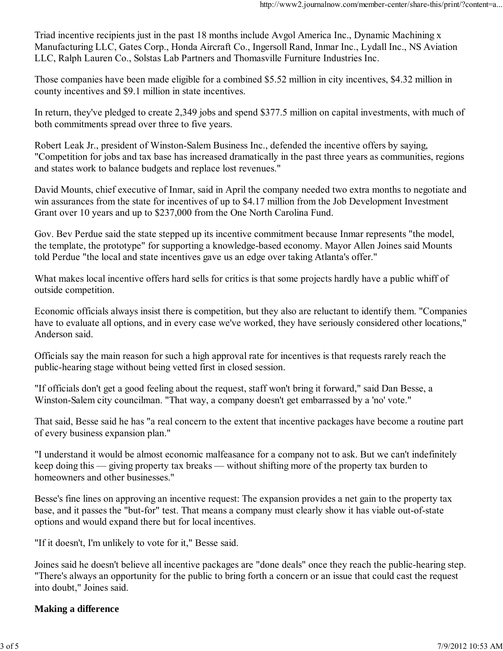Triad incentive recipients just in the past 18 months include Avgol America Inc., Dynamic Machining x Manufacturing LLC, Gates Corp., Honda Aircraft Co., Ingersoll Rand, Inmar Inc., Lydall Inc., NS Aviation LLC, Ralph Lauren Co., Solstas Lab Partners and Thomasville Furniture Industries Inc.

Those companies have been made eligible for a combined \$5.52 million in city incentives, \$4.32 million in county incentives and \$9.1 million in state incentives.

In return, they've pledged to create 2,349 jobs and spend \$377.5 million on capital investments, with much of both commitments spread over three to five years.

Robert Leak Jr., president of Winston-Salem Business Inc., defended the incentive offers by saying, "Competition for jobs and tax base has increased dramatically in the past three years as communities, regions and states work to balance budgets and replace lost revenues."

David Mounts, chief executive of Inmar, said in April the company needed two extra months to negotiate and win assurances from the state for incentives of up to \$4.17 million from the Job Development Investment Grant over 10 years and up to \$237,000 from the One North Carolina Fund.

Gov. Bev Perdue said the state stepped up its incentive commitment because Inmar represents "the model, the template, the prototype" for supporting a knowledge-based economy. Mayor Allen Joines said Mounts told Perdue "the local and state incentives gave us an edge over taking Atlanta's offer."

What makes local incentive offers hard sells for critics is that some projects hardly have a public whiff of outside competition.

Economic officials always insist there is competition, but they also are reluctant to identify them. "Companies have to evaluate all options, and in every case we've worked, they have seriously considered other locations," Anderson said.

Officials say the main reason for such a high approval rate for incentives is that requests rarely reach the public-hearing stage without being vetted first in closed session.

"If officials don't get a good feeling about the request, staff won't bring it forward," said Dan Besse, a Winston-Salem city councilman. "That way, a company doesn't get embarrassed by a 'no' vote."

That said, Besse said he has "a real concern to the extent that incentive packages have become a routine part of every business expansion plan."

"I understand it would be almost economic malfeasance for a company not to ask. But we can't indefinitely keep doing this — giving property tax breaks — without shifting more of the property tax burden to homeowners and other businesses."

Besse's fine lines on approving an incentive request: The expansion provides a net gain to the property tax base, and it passes the "but-for" test. That means a company must clearly show it has viable out-of-state options and would expand there but for local incentives.

"If it doesn't, I'm unlikely to vote for it," Besse said.

Joines said he doesn't believe all incentive packages are "done deals" once they reach the public-hearing step. "There's always an opportunity for the public to bring forth a concern or an issue that could cast the request into doubt," Joines said.

### **Making a difference**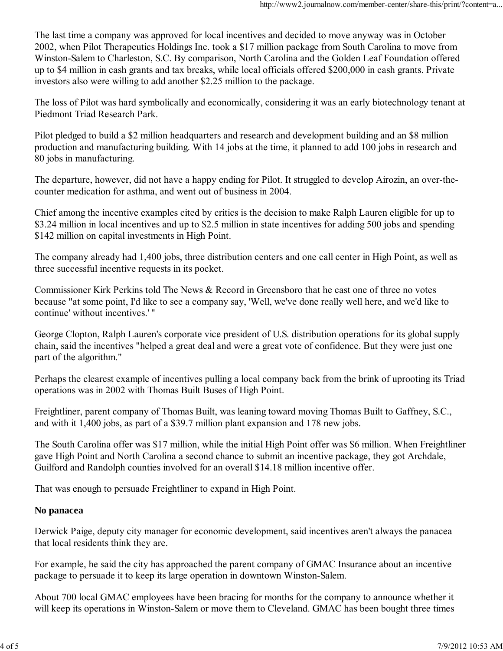The last time a company was approved for local incentives and decided to move anyway was in October 2002, when Pilot Therapeutics Holdings Inc. took a \$17 million package from South Carolina to move from Winston-Salem to Charleston, S.C. By comparison, North Carolina and the Golden Leaf Foundation offered up to \$4 million in cash grants and tax breaks, while local officials offered \$200,000 in cash grants. Private investors also were willing to add another \$2.25 million to the package.

The loss of Pilot was hard symbolically and economically, considering it was an early biotechnology tenant at Piedmont Triad Research Park.

Pilot pledged to build a \$2 million headquarters and research and development building and an \$8 million production and manufacturing building. With 14 jobs at the time, it planned to add 100 jobs in research and 80 jobs in manufacturing.

The departure, however, did not have a happy ending for Pilot. It struggled to develop Airozin, an over-thecounter medication for asthma, and went out of business in 2004.

Chief among the incentive examples cited by critics is the decision to make Ralph Lauren eligible for up to \$3.24 million in local incentives and up to \$2.5 million in state incentives for adding 500 jobs and spending \$142 million on capital investments in High Point.

The company already had 1,400 jobs, three distribution centers and one call center in High Point, as well as three successful incentive requests in its pocket.

Commissioner Kirk Perkins told The News & Record in Greensboro that he cast one of three no votes because "at some point, I'd like to see a company say, 'Well, we've done really well here, and we'd like to continue' without incentives.' "

George Clopton, Ralph Lauren's corporate vice president of U.S. distribution operations for its global supply chain, said the incentives "helped a great deal and were a great vote of confidence. But they were just one part of the algorithm."

Perhaps the clearest example of incentives pulling a local company back from the brink of uprooting its Triad operations was in 2002 with Thomas Built Buses of High Point.

Freightliner, parent company of Thomas Built, was leaning toward moving Thomas Built to Gaffney, S.C., and with it 1,400 jobs, as part of a \$39.7 million plant expansion and 178 new jobs.

The South Carolina offer was \$17 million, while the initial High Point offer was \$6 million. When Freightliner gave High Point and North Carolina a second chance to submit an incentive package, they got Archdale, Guilford and Randolph counties involved for an overall \$14.18 million incentive offer.

That was enough to persuade Freightliner to expand in High Point.

#### **No panacea**

Derwick Paige, deputy city manager for economic development, said incentives aren't always the panacea that local residents think they are.

For example, he said the city has approached the parent company of GMAC Insurance about an incentive package to persuade it to keep its large operation in downtown Winston-Salem.

About 700 local GMAC employees have been bracing for months for the company to announce whether it will keep its operations in Winston-Salem or move them to Cleveland. GMAC has been bought three times